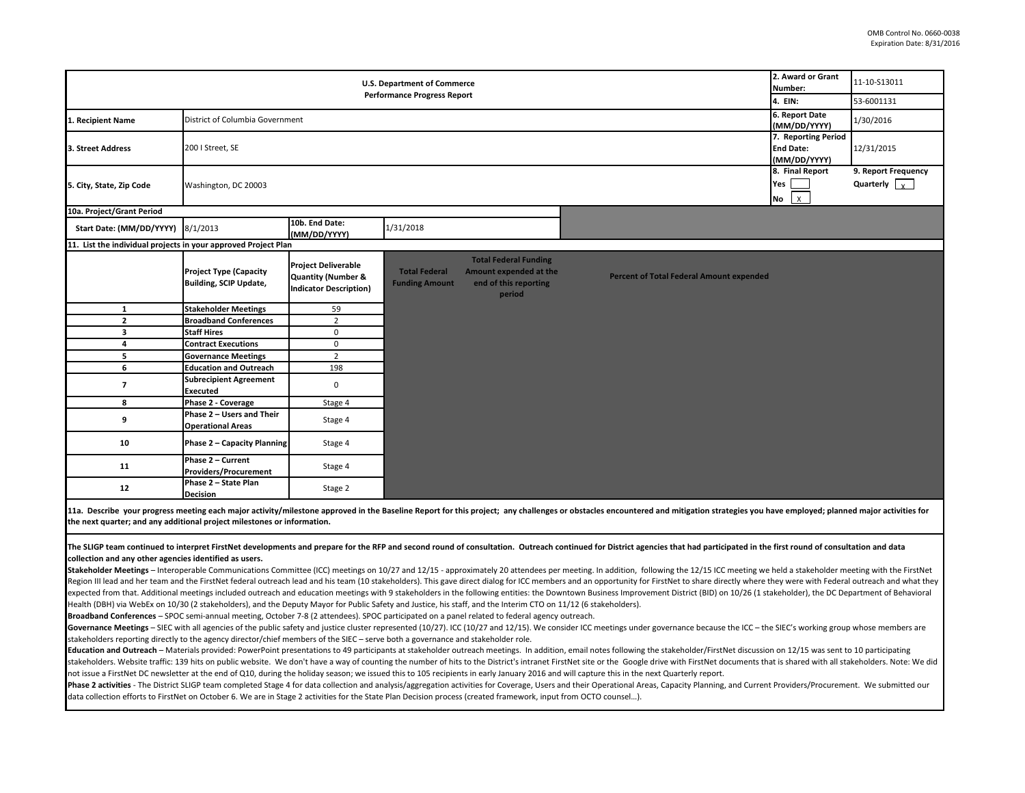| <b>U.S. Department of Commerce</b>                             |                                                                   |                                                                                              |                                               |                                                                                           |                                          | 2. Award or Grant<br>Number:                            | 11-10-S13011                                |
|----------------------------------------------------------------|-------------------------------------------------------------------|----------------------------------------------------------------------------------------------|-----------------------------------------------|-------------------------------------------------------------------------------------------|------------------------------------------|---------------------------------------------------------|---------------------------------------------|
| <b>Performance Progress Report</b><br><b>4. EIN:</b>           |                                                                   |                                                                                              |                                               |                                                                                           |                                          |                                                         | 53-6001131                                  |
| 1. Recipient Name                                              | 6. Report Date<br>District of Columbia Government<br>(MM/DD/YYYY) |                                                                                              |                                               |                                                                                           |                                          |                                                         | 1/30/2016                                   |
| 3. Street Address                                              | 200   Street, SE                                                  |                                                                                              |                                               |                                                                                           |                                          | 7. Reporting Period<br><b>End Date:</b><br>(MM/DD/YYYY) | 12/31/2015                                  |
| 5. City, State, Zip Code                                       | Washington, DC 20003                                              |                                                                                              |                                               |                                                                                           |                                          | 8. Final Report<br>Yes<br>$No$ $X$                      | 9. Report Frequency<br>Quarterly $\sqrt{x}$ |
| 10a. Project/Grant Period                                      |                                                                   |                                                                                              |                                               |                                                                                           |                                          |                                                         |                                             |
| Start Date: (MM/DD/YYYY) 8/1/2013                              |                                                                   | 10b. End Date:<br>(MM/DD/YYYY)                                                               | 1/31/2018                                     |                                                                                           |                                          |                                                         |                                             |
| 11. List the individual projects in your approved Project Plan |                                                                   |                                                                                              |                                               |                                                                                           |                                          |                                                         |                                             |
|                                                                | <b>Project Type (Capacity</b><br><b>Building, SCIP Update,</b>    | <b>Project Deliverable</b><br><b>Quantity (Number &amp;</b><br><b>Indicator Description)</b> | <b>Total Federal</b><br><b>Funding Amount</b> | <b>Total Federal Funding</b><br>Amount expended at the<br>end of this reporting<br>period | Percent of Total Federal Amount expended |                                                         |                                             |
| 1                                                              | <b>Stakeholder Meetings</b>                                       | 59                                                                                           |                                               |                                                                                           |                                          |                                                         |                                             |
| $\overline{2}$                                                 | <b>Broadband Conferences</b>                                      | $\overline{2}$                                                                               |                                               |                                                                                           |                                          |                                                         |                                             |
| 3                                                              | <b>Staff Hires</b>                                                | $\mathbf 0$                                                                                  |                                               |                                                                                           |                                          |                                                         |                                             |
| 4                                                              | <b>Contract Executions</b>                                        | $\mathbf 0$                                                                                  |                                               |                                                                                           |                                          |                                                         |                                             |
| 5                                                              | <b>Governance Meetings</b>                                        | $\overline{2}$                                                                               |                                               |                                                                                           |                                          |                                                         |                                             |
| 6                                                              | <b>Education and Outreach</b>                                     | 198                                                                                          |                                               |                                                                                           |                                          |                                                         |                                             |
| 7                                                              | <b>Subrecipient Agreement</b><br><b>Executed</b>                  | $\mathbf 0$                                                                                  |                                               |                                                                                           |                                          |                                                         |                                             |
| 8                                                              | Phase 2 - Coverage                                                | Stage 4                                                                                      |                                               |                                                                                           |                                          |                                                         |                                             |
| 9                                                              | Phase 2 - Users and Their<br><b>Operational Areas</b>             | Stage 4                                                                                      |                                               |                                                                                           |                                          |                                                         |                                             |
| 10                                                             | Phase 2 - Capacity Planning                                       | Stage 4                                                                                      |                                               |                                                                                           |                                          |                                                         |                                             |
| 11                                                             | Phase 2 - Current<br><b>Providers/Procurement</b>                 | Stage 4                                                                                      |                                               |                                                                                           |                                          |                                                         |                                             |
| 12                                                             | Phase 2 - State Plan<br><b>Decision</b>                           | Stage 2                                                                                      |                                               |                                                                                           |                                          |                                                         |                                             |

11a. Describe your progress meeting each major activity/milestone approved in the Baseline Report for this project; any challenges or obstacles encountered and mitigation strategies you have employed; planned major activit **the next quarter; and any additional project milestones or information.** 

## The SLIGP team continued to interpret FirstNet developments and prepare for the RFP and second round of consultation. Outreach continued for District agencies that had participated in the first round of consultation and da **collection and any other agencies identified as users.**

Stakeholder Meetings - Interoperable Communications Committee (ICC) meetings on 10/27 and 12/15 - approximately 20 attendees per meeting. In addition, following the 12/15 ICC meeting we held a stakeholder meeting with the Region III lead and her team and the FirstNet federal outreach lead and his team (10 stakeholders). This gave direct dialog for ICC members and an opportunity for FirstNet to share directly where they were with Federal out expected from that. Additional meetings included outreach and education meetings with 9 stakeholders in the following entities: the Downtown Business Improvement District (BID) on 10/26 (1 stakeholder), the DC Department o Health (DBH) via WebEx on 10/30 (2 stakeholders), and the Deputy Mayor for Public Safety and Justice, his staff, and the Interim CTO on 11/12 (6 stakeholders).

**Broadband Conferences** – SPOC semi-annual meeting, October 7-8 (2 attendees). SPOC participated on a panel related to federal agency outreach.

Governance Meetings - SIEC with all agencies of the public safety and justice cluster represented (10/27). ICC (10/27 and 12/15). We consider ICC meetings under governance because the ICC - the SIEC's working group whose m stakeholders reporting directly to the agency director/chief members of the SIEC – serve both a governance and stakeholder role.

Education and Outreach - Materials provided: PowerPoint presentations to 49 participants at stakeholder outreach meetings. In addition, email notes following the stakeholder/FirstNet discussion on 12/15 was sent to 10 part stakeholders. Website traffic: 139 hits on public website. We don't have a way of counting the number of hits to the District's intranet FirstNet site or the Google drive with FirstNet documents that is shared with all sta not issue a FirstNet DC newsletter at the end of Q10, during the holiday season; we issued this to 105 recipients in early January 2016 and will capture this in the next Quarterly report.

Phase 2 activities - The District SLIGP team completed Stage 4 for data collection and analysis/aggregation activities for Coverage, Users and their Operational Areas, Capacity Planning, and Current Providers/Procurement. data collection efforts to FirstNet on October 6. We are in Stage 2 activities for the State Plan Decision process (created framework, input from OCTO counsel…).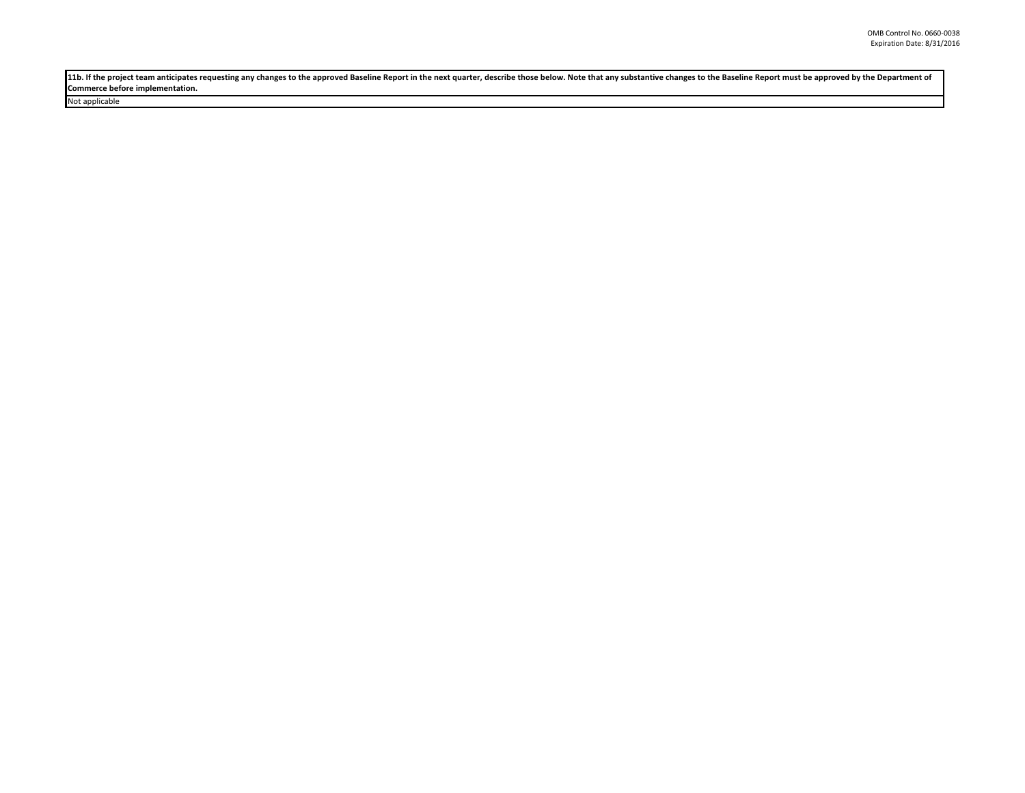11b. If the project team anticipates requesting any changes to the approved Baseline Report in the next quarter, describe those below. Note that any substantive changes to the Baseline Report must be approved by the Depart **Commerce before implementation.** 

Not applicable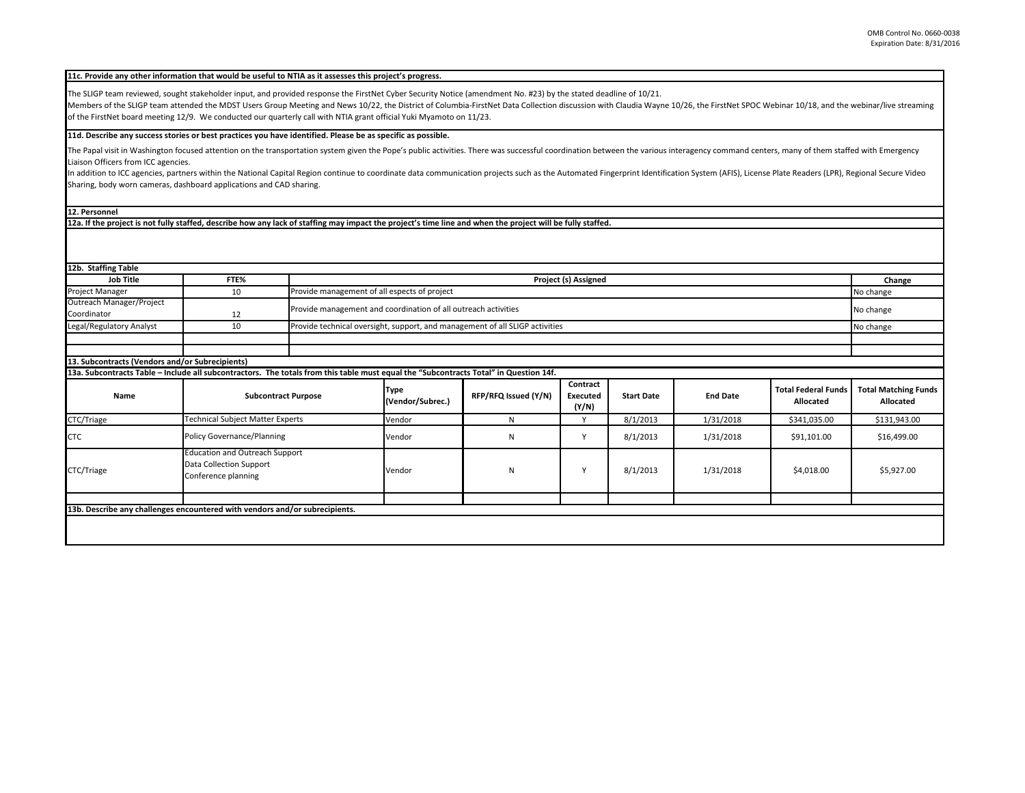|  | 11c. Provide any other information that would be useful to NTIA as it assesses this project's progress. |  |
|--|---------------------------------------------------------------------------------------------------------|--|
|--|---------------------------------------------------------------------------------------------------------|--|

The SLIGP team reviewed, sought stakeholder input, and provided response the FirstNet Cyber Security Notice (amendment No. #23) by the stated deadline of 10/21.

Members of the SLIGP team attended the MDST Users Group Meeting and News 10/22, the District of Columbia-FirstNet Data Collection discussion with Claudia Wayne 10/26, the FirstNet SPOC Webinar 10/18, and the webinar/live s of the FirstNet board meeting 12/9. We conducted our quarterly call with NTIA grant official Yuki Myamoto on 11/23.

## **11d. Describe any success stories or best practices you have identified. Please be as specific as possible.**

The Papal visit in Washington focused attention on the transportation system given the Pope's public activities. There was successful coordination between the various interagency command centers, many of them staffed with Liaison Officers from ICC agencies.

In addition to ICC agencies, partners within the National Capital Region continue to coordinate data communication projects such as the Automated Fingerprint Identification System (AFIS), License Plate Readers (LPR), Regio Sharing, body worn cameras, dashboard applications and CAD sharing.

## **12. Personnel**

**12a. If the project is not fully staffed, describe how any lack of staffing may impact the project's time line and when the project will be fully staffed.**

| 12b. Staffing Table                                                                                                                   |                                                                                         |                            |                                                                                           |                      |                                      |                   |                 |                                         |                                          |
|---------------------------------------------------------------------------------------------------------------------------------------|-----------------------------------------------------------------------------------------|----------------------------|-------------------------------------------------------------------------------------------|----------------------|--------------------------------------|-------------------|-----------------|-----------------------------------------|------------------------------------------|
| <b>Job Title</b>                                                                                                                      | FTE%                                                                                    |                            | Project (s) Assigned                                                                      |                      |                                      |                   |                 |                                         | Change                                   |
| Project Manager                                                                                                                       | 10                                                                                      |                            | Provide management of all espects of project                                              |                      |                                      |                   |                 |                                         | No change                                |
| Outreach Manager/Project<br>Coordinator                                                                                               | 12                                                                                      |                            | Provide management and coordination of all outreach activities                            |                      |                                      |                   |                 |                                         | No change                                |
| Legal/Regulatory Analyst                                                                                                              | 10                                                                                      |                            | Provide technical oversight, support, and management of all SLIGP activities<br>No change |                      |                                      |                   |                 |                                         |                                          |
|                                                                                                                                       |                                                                                         |                            |                                                                                           |                      |                                      |                   |                 |                                         |                                          |
|                                                                                                                                       |                                                                                         |                            |                                                                                           |                      |                                      |                   |                 |                                         |                                          |
| 13. Subcontracts (Vendors and/or Subrecipients)                                                                                       |                                                                                         |                            |                                                                                           |                      |                                      |                   |                 |                                         |                                          |
| 13a. Subcontracts Table - Include all subcontractors. The totals from this table must equal the "Subcontracts Total" in Question 14f. |                                                                                         |                            |                                                                                           |                      |                                      |                   |                 |                                         |                                          |
| Name                                                                                                                                  |                                                                                         | <b>Subcontract Purpose</b> | Type<br>(Vendor/Subrec.)                                                                  | RFP/RFQ Issued (Y/N) | Contract<br><b>Executed</b><br>(Y/N) | <b>Start Date</b> | <b>End Date</b> | <b>Total Federal Funds</b><br>Allocated | <b>Total Matching Funds</b><br>Allocated |
| CTC/Triage                                                                                                                            | Technical Subject Matter Experts                                                        |                            | Vendor                                                                                    | N                    | Υ                                    | 8/1/2013          | 1/31/2018       | \$341,035.00                            | \$131,943.00                             |
| <b>CTC</b>                                                                                                                            | <b>Policy Governance/Planning</b>                                                       |                            | Vendor                                                                                    | N                    | Υ                                    | 8/1/2013          | 1/31/2018       | \$91,101.00                             | \$16,499.00                              |
| CTC/Triage                                                                                                                            | <b>Education and Outreach Support</b><br>Data Collection Support<br>Conference planning |                            | Vendor                                                                                    | N                    | v                                    | 8/1/2013          | 1/31/2018       | \$4,018.00                              | \$5,927.00                               |
|                                                                                                                                       |                                                                                         |                            |                                                                                           |                      |                                      |                   |                 |                                         |                                          |
| 13b. Describe any challenges encountered with vendors and/or subrecipients.                                                           |                                                                                         |                            |                                                                                           |                      |                                      |                   |                 |                                         |                                          |
|                                                                                                                                       |                                                                                         |                            |                                                                                           |                      |                                      |                   |                 |                                         |                                          |
|                                                                                                                                       |                                                                                         |                            |                                                                                           |                      |                                      |                   |                 |                                         |                                          |